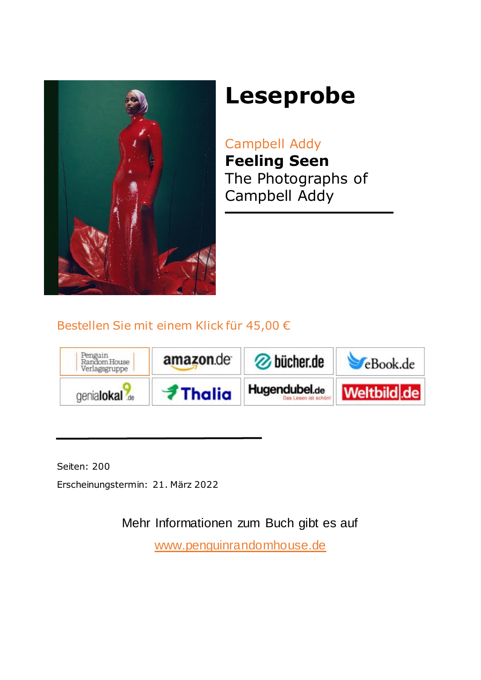

## **Leseprobe**

Campbell Addy **Feeling Seen** The Photographs of Campbell Addy

Bestellen Sie mit einem Klick für 45,00 €



Seiten: 200

Erscheinungstermin: 21. März 2022

Mehr Informationen zum Buch gibt es auf

<www.penguinrandomhouse.de>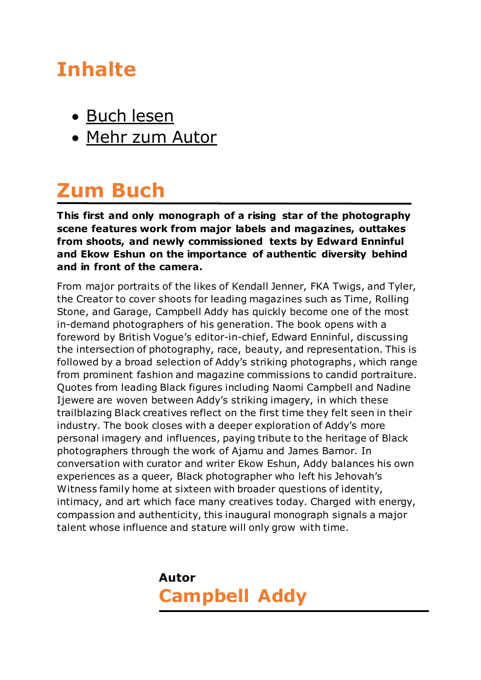## **Inhalte**

- [Buch lesen](#page-3-0)
- [Mehr zum Autor](#page-1-0)

## **Zum Buch**

**This first and only monograph of a rising star of the photography scene features work from major labels and magazines, outtakes from shoots, and newly commissioned texts by Edward Enninful and Ekow Eshun on the importance of authentic diversity behind and in front of the camera.**

From major portraits of the likes of Kendall Jenner, FKA Twigs, and Tyler, the Creator to cover shoots for leading magazines such as Time, Rolling Stone, and Garage, Campbell Addy has quickly become one of the most in-demand photographers of his generation. The book opens with a foreword by British Vogue's editor-in-chief, Edward Enninful, discussing the intersection of photography, race, beauty, and representation. This is followed by a broad selection of Addy's striking photographs, which range from prominent fashion and magazine commissions to candid portraiture. Quotes from leading Black figures including Naomi Campbell and Nadine Ijewere are woven between Addy's striking imagery, in which these trailblazing Black creatives reflect on the first time they felt seen in their industry. The book closes with a deeper exploration of Addy's more personal imagery and influences, paying tribute to the heritage of Black photographers through the work of Ajamu and James Barnor. In conversation with curator and writer Ekow Eshun, Addy balances his own experiences as a queer, Black photographer who left his Jehovah's Witness family home at sixteen with broader questions of identity, intimacy, and art which face many creatives today. Charged with energy, compassion and authenticity, this inaugural monograph signals a major talent whose influence and stature will only grow with time.

<span id="page-1-0"></span>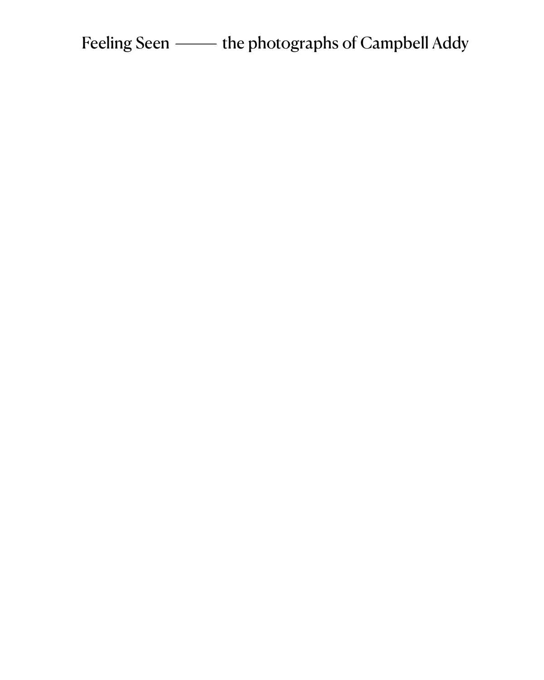Feeling Seen —— the photographs of Campbell Addy